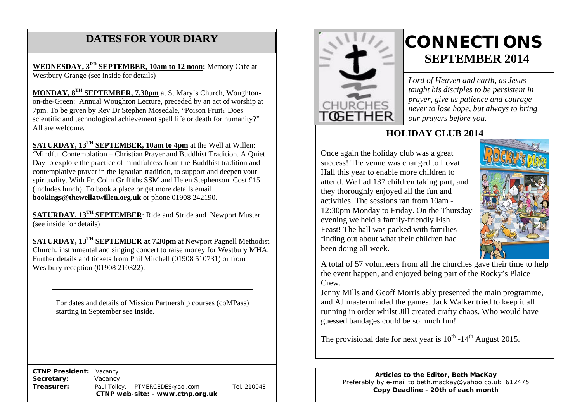# **DATES FOR YOUR DIARY**

**WEDNESDAY, 3RD SEPTEMBER, 10am to 12 noon:** Memory Cafe at Westbury Grange (see inside for details)

 7pm. To be given by Rev Dr Stephen Mosedale, "Poison Fruit? Does **MONDAY, 8TH SEPTEMBER, 7.30pm** at St Mary's Church, Woughtonon-the-Green: Annual Woughton Lecture, preceded by an act of worship at scientific and technological achievement spell life or death for humanity?" All are welcome.

**SATURDAY, 13TH SEPTEMBER, 10am to 4pm** at the Well at Willen: 'Mindful Contemplation – Christian Prayer and Buddhist Tradition. A Quiet Day to explore the practice of mindfulness from the Buddhist tradition and contemplative prayer in the Ignatian tradition, to support and deepen your spirituality. With Fr. Colin Griffiths SSM and Helen Stephenson. Cost £15 (includes lunch). To book a place or get more details email **bookings@thewellatwillen.org.uk** or phone 01908 242190.

**SATURDAY, 13TH SEPTEMBER**: Ride and Stride and Newport Muster (see inside for details)

**SATURDAY, 13TH SEPTEMBER at 7.30pm** at Newport Pagnell Methodist Church: instrumental and singing concert to raise money for Westbury MHA. Further details and tickets from Phil Mitchell (01908 510731) or from Westbury reception (01908 210322).

For dates and details of Mission Partnership courses (coMPass) starting in September see inside.

 **CTNP President:** Vacancy **Secretary:** Vacancy **Treasurer:** Paul Tolley, PTMERCEDES@aol.com Tel. 210048 **CTNP web-site: - www.ctnp.org.uk**



# **CONNECTIONS SEPTEMBER 2014**

*Lord of Heaven and earth, as Jesus taught his disciples to be persistent in prayer, give us patience and courage never to lose hope, but always to bring our prayers before you.*

## **HOLIDAY CLUB 2014**

Once again the holiday club was a great success! The venue was changed to Lovat Hall this year to enable more children to attend. We had 137 children taking part, and they thoroughly enjoyed all the fun and activities. The sessions ran from 10am - 12:30pm Monday to Friday. On the Thursday evening we held a family-friendly Fish Feast! The hall was packed with families finding out about what their children had been doing all week.



A total of 57 volunteers from all the churches gave their time to help the event happen, and enjoyed being part of the Rocky's Plaice Crew.

Jenny Mills and Geoff Morris ably presented the main programme, and AJ masterminded the games. Jack Walker tried to keep it all running in order whilst Jill created crafty chaos. Who would have guessed bandages could be so much fun!

The provisional date for next year is  $10^{th}$  -14<sup>th</sup> August 2015.

**Articles to the Editor, Beth MacKay** Preferably by e-mail to beth.mackay@yahoo.co.uk 612475 **Copy Deadline - 20th of each month**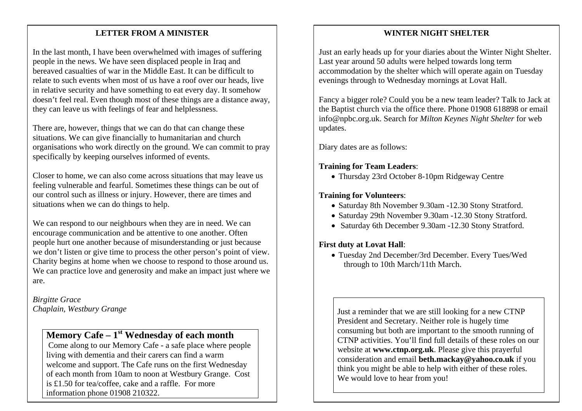### mee **LETTER FROM A MINISTER**

In the last month, I have been overwhelmed with images of suffering people in the news. We have seen displaced people in Iraq and bereaved casualties of war in the Middle East. It can be difficult to relate to such events when most of us have a roof over our heads, live in relative security and have something to eat every day. It somehow doesn't feel real. Even though most of these things are a distance away, they can leave us with feelings of fear and helplessness.

There are, however, things that we can do that can change these situations. We can give financially to humanitarian and church organisations who work directly on the ground. We can commit to pray specifically by keeping ourselves informed of events.

Closer to home, we can also come across situations that may leave us feeling vulnerable and fearful. Sometimes these things can be out of our control such as illness or injury. However, there are times and situations when we can do things to help.

We can respond to our neighbours when they are in need. We can encourage communication and be attentive to one another. Often people hurt one another because of misunderstanding or just because we don't listen or give time to process the other person's point of view. Charity begins at home when we choose to respond to those around us. We can practice love and generosity and make an impact just where we are.

*Birgitte Grace Chaplain, Westbury Grange*

# **Memory Cafe – 1st Wednesday of each month**

Come along to our Memory Cafe - a safe place where people living with dementia and their carers can find a warm welcome and support. The Cafe runs on the first Wednesday of each month from 10am to noon at Westbury Grange. Cost is £1.50 for tea/coffee, cake and a raffle. For more information phone 01908 210322.

#### **WINTER NIGHT SHELTER**

Just an early heads up for your diaries about the Winter Night Shelter. Last year around 50 adults were helped towards long term accommodation by the shelter which will operate again on Tuesday evenings through to Wednesday mornings at Lovat Hall.

Fancy a bigger role? Could you be a new team leader? Talk to Jack at the Baptist church via the office there. Phone 01908 618898 or email info@npbc.org.uk. Search for *Milton Keynes Night Shelter* for web updates.

Diary dates are as follows:

#### **Training for Team Leaders**:

• Thursday 23rd October 8-10pm Ridgeway Centre

#### **Training for Volunteers**:

- Saturday 8th November 9.30am -12.30 Stony Stratford.
- Saturday 29th November 9.30am -12.30 Stony Stratford.
- Saturday 6th December 9.30am -12.30 Stony Stratford.

#### **First duty at Lovat Hall**:

• Tuesday 2nd December/3rd December. Every Tues/Wed through to 10th March/11th March.

Just a reminder that we are still looking for a new CTNP President and Secretary. Neither role is hugely time consuming but both are important to the smooth running of CTNP activities. You'll find full details of these roles on our website at **www.ctnp.org.uk**. Please give this prayerful consideration and email **beth.mackay@yahoo.co.uk** if you think you might be able to help with either of these roles. We would love to hear from you!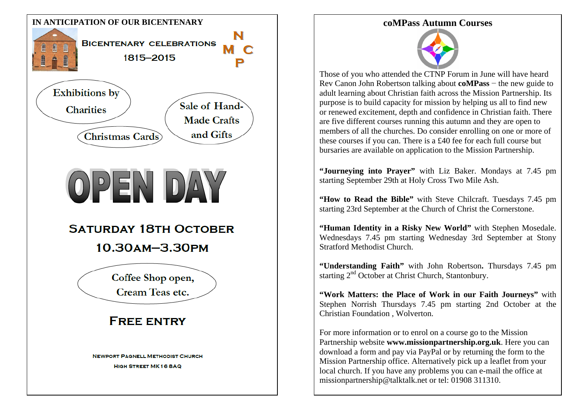



Those of you who attended the CTNP Forum in June will have heard Rev Canon John Robertson talking about **coMPass** − the new guide to adult learning about Christian faith across the Mission Partnership. Its purpose is to build capacity for mission by helping us all to find new or renewed excitement, depth and confidence in Christian faith. There are five different courses running this autumn and they are open to members of all the churches. Do consider enrolling on one or more of these courses if you can. There is a £40 fee for each full course but bursaries are available on application to the Mission Partnership.

**"Journeying into Prayer"** with Liz Baker. Mondays at 7.45 pm starting September 29th at Holy Cross Two Mile Ash.

**"How to Read the Bible"** with Steve Chilcraft. Tuesdays 7.45 pm starting 23rd September at the Church of Christ the Cornerstone.

**"Human Identity in a Risky New World"** with Stephen Mosedale. Wednesdays 7.45 pm starting Wednesday 3rd September at Stony Stratford Methodist Church.

**"Understanding Faith"** with John Robertson**.** Thursdays 7.45 pm starting 2<sup>nd</sup> October at Christ Church, Stantonbury.

**"Work Matters: the Place of Work in our Faith Journeys"** with Stephen Norrish Thursdays 7.45 pm starting 2nd October at the Christian Foundation , Wolverton.

For more information or to enrol on a course go to the Mission Partnership website **www.missionpartnership.org.uk**. Here you can download a form and pay via PayPal or by returning the form to the Mission Partnership office. Alternatively pick up a leaflet from your local church. If you have any problems you can e-mail the office at missionpartnership@talktalk.net or tel: 01908 311310.